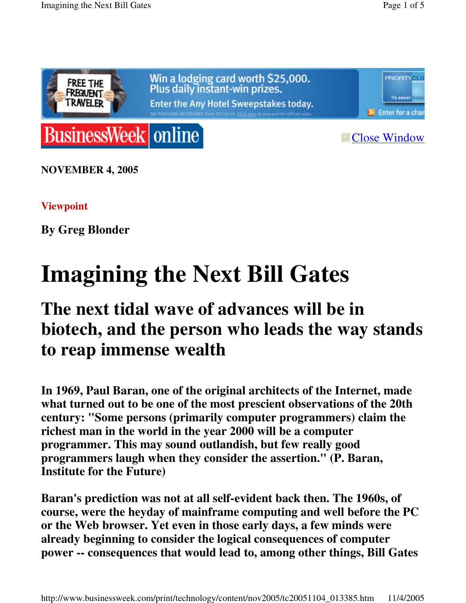



**Execute Close Window** 

**NOVEMBER 4, 2005**

#### **Viewpoint**

**By Greg Blonder**

# **Imagining the Next Bill Gates**

# **The next tidal wave of advances will be in biotech, and the person who leads the way stands to reap immense wealth**

**In 1969, Paul Baran, one of the original architects of the Internet, made what turned out to be one of the most prescient observations of the 20th century: "Some persons (primarily computer programmers) claim the richest man in the world in the year 2000 will be a computer programmer. This may sound outlandish, but few really good programmers laugh when they consider the assertion." (P. Baran, Institute for the Future)**

**Baran's prediction was not at all self-evident back then. The 1960s, of course, were the heyday of mainframe computing and well before the PC or the Web browser. Yet even in those early days, a few minds were already beginning to consider the logical consequences of computer power -- consequences that would lead to, among other things, Bill Gates**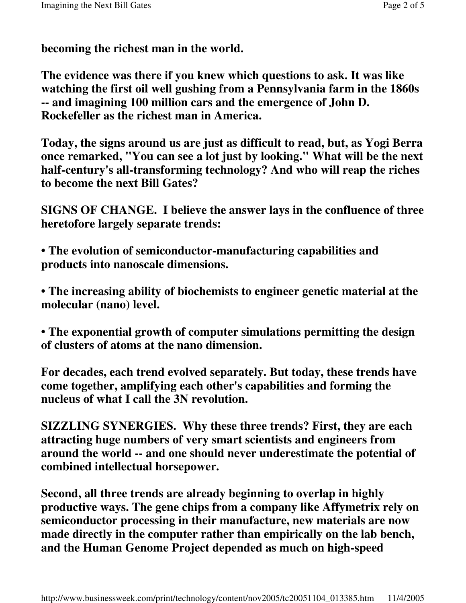**becoming the richest man in the world.**

**The evidence was there if you knew which questions to ask. It was like watching the first oil well gushing from a Pennsylvania farm in the 1860s -- and imagining 100 million cars and the emergence of John D. Rockefeller as the richest man in America.**

**Today, the signs around us are just as difficult to read, but, as Yogi Berra once remarked, "You can see a lot just by looking." What will be the next half-century's all-transforming technology? And who will reap the riches to become the next Bill Gates?**

**SIGNS OF CHANGE. I believe the answer lays in the confluence of three heretofore largely separate trends:**

**• The evolution of semiconductor-manufacturing capabilities and products into nanoscale dimensions.**

**• The increasing ability of biochemists to engineer genetic material at the molecular (nano) level.**

**• The exponential growth of computer simulations permitting the design of clusters of atoms at the nano dimension.**

**For decades, each trend evolved separately. But today, these trends have come together, amplifying each other's capabilities and forming the nucleus of what I call the 3N revolution.**

**SIZZLING SYNERGIES. Why these three trends? First, they are each attracting huge numbers of very smart scientists and engineers from around the world -- and one should never underestimate the potential of combined intellectual horsepower.**

**Second, all three trends are already beginning to overlap in highly productive ways. The gene chips from a company like Affymetrix rely on semiconductor processing in their manufacture, new materials are now made directly in the computer rather than empirically on the lab bench, and the Human Genome Project depended as much on high-speed**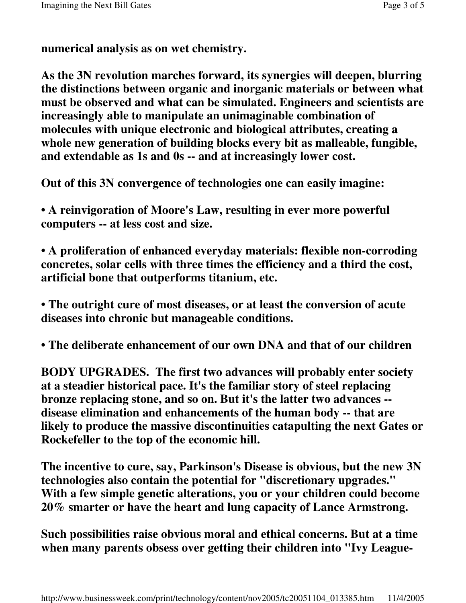**numerical analysis as on wet chemistry.**

**As the 3N revolution marches forward, its synergies will deepen, blurring the distinctions between organic and inorganic materials or between what must be observed and what can be simulated. Engineers and scientists are increasingly able to manipulate an unimaginable combination of molecules with unique electronic and biological attributes, creating a whole new generation of building blocks every bit as malleable, fungible, and extendable as 1s and 0s -- and at increasingly lower cost.**

**Out of this 3N convergence of technologies one can easily imagine:**

**• A reinvigoration of Moore's Law, resulting in ever more powerful computers -- at less cost and size.**

**• A proliferation of enhanced everyday materials: flexible non-corroding concretes, solar cells with three times the efficiency and a third the cost, artificial bone that outperforms titanium, etc.**

**• The outright cure of most diseases, or at least the conversion of acute diseases into chronic but manageable conditions.**

**• The deliberate enhancement of our own DNA and that of our children**

**BODY UPGRADES. The first two advances will probably enter society at a steadier historical pace. It's the familiar story of steel replacing bronze replacing stone, and so on. But it's the latter two advances - disease elimination and enhancements of the human body -- that are likely to produce the massive discontinuities catapulting the next Gates or Rockefeller to the top of the economic hill.**

**The incentive to cure, say, Parkinson's Disease is obvious, but the new 3N technologies also contain the potential for "discretionary upgrades." With a few simple genetic alterations, you or your children could become 20% smarter or have the heart and lung capacity of Lance Armstrong.**

**Such possibilities raise obvious moral and ethical concerns. But at a time when many parents obsess over getting their children into "Ivy League-**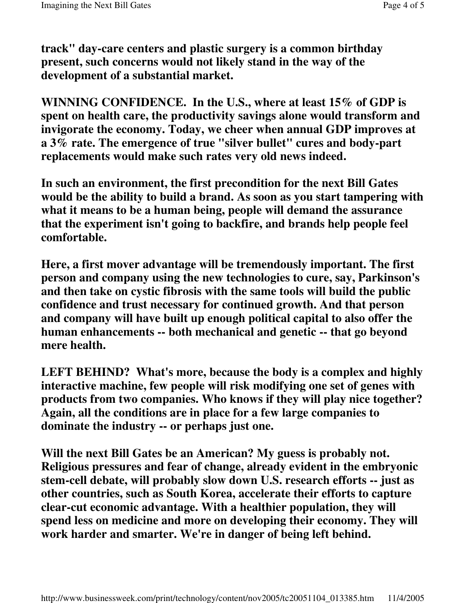**track" day-care centers and plastic surgery is a common birthday present, such concerns would not likely stand in the way of the development of a substantial market.**

**WINNING CONFIDENCE. In the U.S., where at least 15% of GDP is spent on health care, the productivity savings alone would transform and invigorate the economy. Today, we cheer when annual GDP improves at a 3% rate. The emergence of true "silver bullet" cures and body-part replacements would make such rates very old news indeed.**

**In such an environment, the first precondition for the next Bill Gates would be the ability to build a brand. As soon as you start tampering with what it means to be a human being, people will demand the assurance that the experiment isn't going to backfire, and brands help people feel comfortable.**

**Here, a first mover advantage will be tremendously important. The first person and company using the new technologies to cure, say, Parkinson's and then take on cystic fibrosis with the same tools will build the public confidence and trust necessary for continued growth. And that person and company will have built up enough political capital to also offer the human enhancements -- both mechanical and genetic -- that go beyond mere health.**

**LEFT BEHIND? What's more, because the body is a complex and highly interactive machine, few people will risk modifying one set of genes with products from two companies. Who knows if they will play nice together? Again, all the conditions are in place for a few large companies to dominate the industry -- or perhaps just one.**

**Will the next Bill Gates be an American? My guess is probably not. Religious pressures and fear of change, already evident in the embryonic stem-cell debate, will probably slow down U.S. research efforts -- just as other countries, such as South Korea, accelerate their efforts to capture clear-cut economic advantage. With a healthier population, they will spend less on medicine and more on developing their economy. They will work harder and smarter. We're in danger of being left behind.**